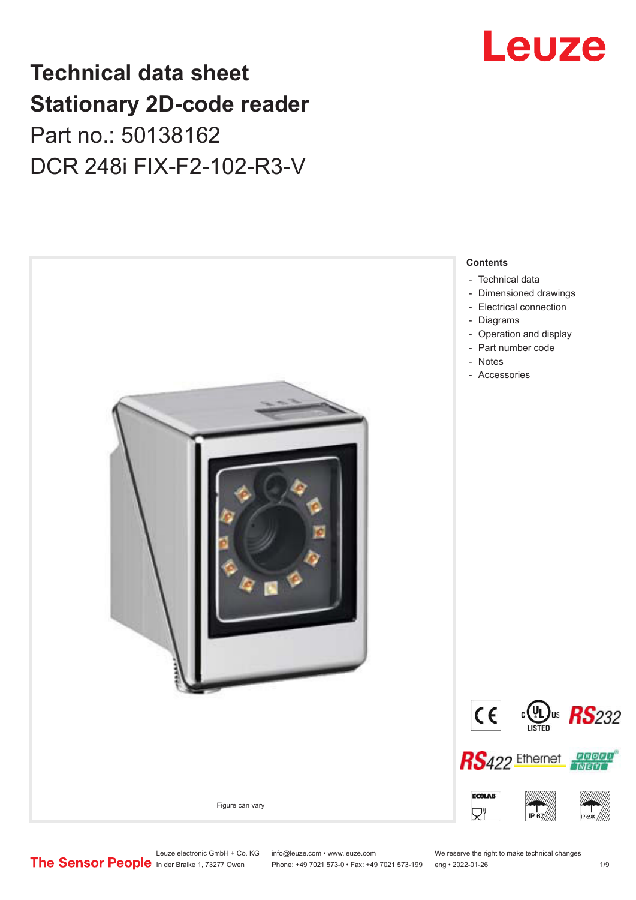# Leuze

## **Technical data sheet Stationary 2D-code reader** Part no.: 50138162 DCR 248i FIX-F2-102-R3-V



Leuze electronic GmbH + Co. KG info@leuze.com • www.leuze.com We reserve the right to make technical changes<br>
The Sensor People in der Braike 1, 73277 Owen Phone: +49 7021 573-0 • Fax: +49 7021 573-199 eng • 2022-01-26

Phone: +49 7021 573-0 • Fax: +49 7021 573-199 eng • 2022-01-26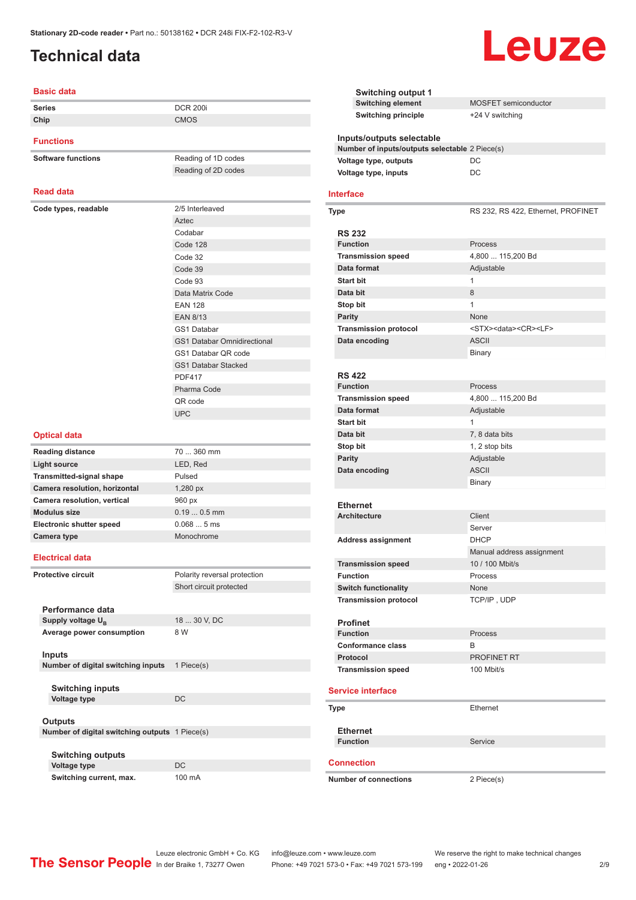#### <span id="page-1-0"></span>**Technical data**

#### **Basic data**

| uviv uuu             |                                    |
|----------------------|------------------------------------|
| <b>Series</b>        | <b>DCR 200i</b>                    |
| Chip                 | <b>CMOS</b>                        |
| <b>Functions</b>     |                                    |
| Software functions   | Reading of 1D codes                |
|                      | Reading of 2D codes                |
| <b>Read data</b>     |                                    |
| Code types, readable | 2/5 Interleaved                    |
|                      | Aztec                              |
|                      | Codabar                            |
|                      | Code 128                           |
|                      | Code 32                            |
|                      | Code 39                            |
|                      | Code 93                            |
|                      | Data Matrix Code                   |
|                      | <b>EAN 128</b>                     |
|                      | <b>EAN 8/13</b>                    |
|                      | GS1 Databar                        |
|                      | <b>GS1 Databar Omnidirectional</b> |

| 2/5 Interleaved                    |
|------------------------------------|
| Aztec                              |
| Codabar                            |
| Code 128                           |
| Code 32                            |
| Code 39                            |
| Code 93                            |
| Data Matrix Code                   |
| <b>FAN 128</b>                     |
| <b>EAN 8/13</b>                    |
| <b>GS1 Databar</b>                 |
| <b>GS1 Databar Omnidirectional</b> |
| GS1 Databar QR code                |
| <b>GS1 Databar Stacked</b>         |
| <b>PDF417</b>                      |
| Pharma Code                        |
| QR code                            |

#### **Optical data**

| <b>Reading distance</b>         | $70360$ mm   |
|---------------------------------|--------------|
| Light source                    | LED, Red     |
| <b>Transmitted-signal shape</b> | Pulsed       |
| Camera resolution, horizontal   | $1,280$ px   |
| Camera resolution, vertical     | 960 px       |
| <b>Modulus size</b>             | $0.190.5$ mm |
| <b>Electronic shutter speed</b> | 0.0685ms     |
| Camera type                     | Monochrome   |

UPC

#### **Electrical data**

| Protective circuit |                                                | Polarity reversal protection |
|--------------------|------------------------------------------------|------------------------------|
|                    | Short circuit protected                        |                              |
|                    |                                                |                              |
|                    | Performance data                               |                              |
|                    | Supply voltage U <sub>B</sub>                  | 18  30 V, DC                 |
|                    | Average power consumption                      | 8 W                          |
|                    |                                                |                              |
|                    | <b>Inputs</b>                                  |                              |
|                    | Number of digital switching inputs             | 1 Piece(s)                   |
|                    |                                                |                              |
|                    | <b>Switching inputs</b>                        |                              |
|                    | <b>Voltage type</b>                            | <b>DC</b>                    |
|                    |                                                |                              |
|                    | Outputs                                        |                              |
|                    | Number of digital switching outputs 1 Piece(s) |                              |
|                    |                                                |                              |
|                    | <b>Switching outputs</b>                       |                              |
|                    | Voltage type                                   | DC.                          |
|                    | Switching current, max.                        | 100 mA                       |

| <b>Switching output 1</b>                                                   |                                            |
|-----------------------------------------------------------------------------|--------------------------------------------|
| <b>Switching element</b>                                                    | MOSFET semiconductor                       |
| <b>Switching principle</b>                                                  | +24 V switching                            |
| Inputs/outputs selectable<br>Number of inputs/outputs selectable 2 Piece(s) |                                            |
| Voltage type, outputs                                                       | DC                                         |
| Voltage type, inputs                                                        | DC                                         |
|                                                                             |                                            |
| <b>Interface</b>                                                            |                                            |
| <b>Type</b>                                                                 | RS 232, RS 422, Ethernet, PROFINET         |
|                                                                             |                                            |
| <b>RS 232</b>                                                               |                                            |
| <b>Function</b>                                                             | Process                                    |
| <b>Transmission speed</b>                                                   | 4,800  115,200 Bd                          |
| Data format                                                                 | Adjustable                                 |
| <b>Start bit</b>                                                            | 1                                          |
| Data bit                                                                    | 8                                          |
| Stop bit                                                                    | 1                                          |
| <b>Parity</b>                                                               | None                                       |
| <b>Transmission protocol</b>                                                | <stx><data><cr><lf></lf></cr></data></stx> |
| Data encoding                                                               | <b>ASCII</b>                               |
|                                                                             | Binary                                     |
|                                                                             |                                            |
| <b>RS 422</b>                                                               |                                            |
| <b>Function</b>                                                             | Process                                    |
| <b>Transmission speed</b>                                                   | 4,800  115,200 Bd                          |
| Data format                                                                 | Adjustable                                 |
| <b>Start bit</b>                                                            | $\mathbf{1}$                               |
|                                                                             |                                            |
| Data bit                                                                    | 7, 8 data bits                             |
| Stop bit                                                                    | 1, 2 stop bits                             |
| <b>Parity</b>                                                               | Adjustable                                 |
| Data encoding                                                               | <b>ASCII</b>                               |
|                                                                             | Binary                                     |
| <b>Ethernet</b>                                                             |                                            |
| <b>Architecture</b>                                                         | Client                                     |
|                                                                             |                                            |
|                                                                             | Server                                     |
| <b>Address assignment</b>                                                   | <b>DHCP</b>                                |
|                                                                             | Manual address assignment                  |
| <b>Transmission speed</b>                                                   | 10 / 100 Mbit/s                            |
| <b>Function</b>                                                             | Process                                    |
| <b>Switch functionality</b>                                                 | None                                       |
| <b>Transmission protocol</b>                                                | TCP/IP, UDP                                |
| <b>Profinet</b>                                                             |                                            |
| <b>Function</b>                                                             | Process                                    |
| <b>Conformance class</b>                                                    | B                                          |
| Protocol                                                                    | <b>PROFINET RT</b>                         |
| <b>Transmission speed</b>                                                   | 100 Mbit/s                                 |
|                                                                             |                                            |
| <b>Service interface</b>                                                    |                                            |
| <b>Type</b>                                                                 | Ethernet                                   |
| <b>Ethernet</b>                                                             |                                            |
| <b>Function</b>                                                             | Service                                    |
|                                                                             |                                            |
| <b>Connection</b>                                                           |                                            |
| <b>Number of connections</b>                                                | 2 Piece(s)                                 |

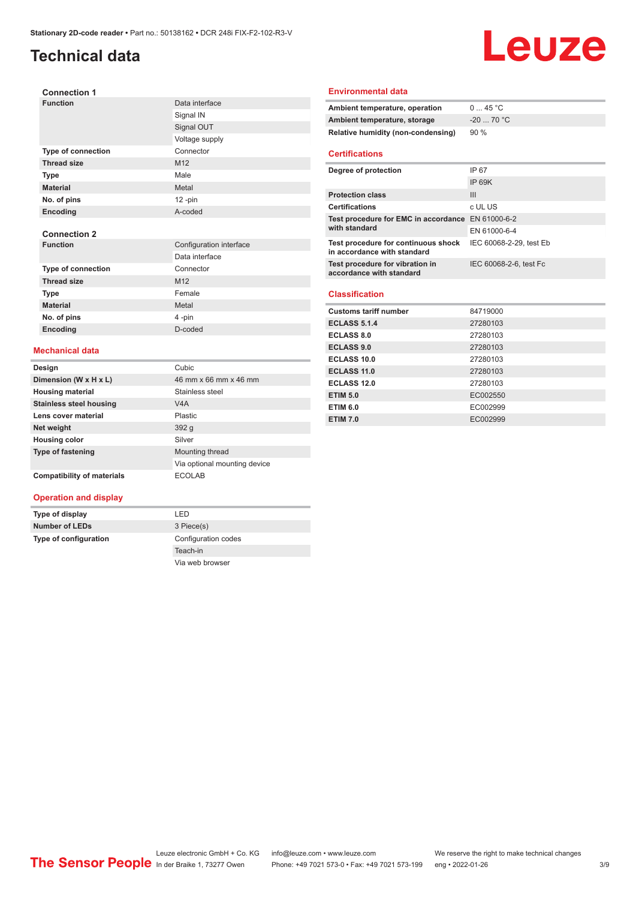## **Technical data**

# Leuze

| <b>Connection 1</b>       |                 |
|---------------------------|-----------------|
| <b>Function</b>           | Data interface  |
|                           | Signal IN       |
|                           | Signal OUT      |
|                           | Voltage supply  |
| <b>Type of connection</b> | Connector       |
| <b>Thread size</b>        | M <sub>12</sub> |
| <b>Type</b>               | Male            |
| <b>Material</b>           | Metal           |
| No. of pins               | $12 - pin$      |
| Encoding                  | A-coded         |
|                           |                 |

#### **Connection 2**

| <b>Function</b>           | Configuration interface |
|---------------------------|-------------------------|
|                           | Data interface          |
| <b>Type of connection</b> | Connector               |
| <b>Thread size</b>        | M <sub>12</sub>         |
| <b>Type</b>               | Female                  |
| <b>Material</b>           | Metal                   |
| No. of pins               | 4-pin                   |
| Encoding                  | D-coded                 |

#### **Mechanical data**

| Design                         | Cubic                        |
|--------------------------------|------------------------------|
| Dimension (W x H x L)          | 46 mm x 66 mm x 46 mm        |
| <b>Housing material</b>        | Stainless steel              |
| <b>Stainless steel housing</b> | V4A                          |
| Lens cover material            | <b>Plastic</b>               |
| Net weight                     | 392q                         |
| <b>Housing color</b>           | Silver                       |
| <b>Type of fastening</b>       | Mounting thread              |
|                                | Via optional mounting device |
| Compatibility of materials     | <b>FCOLAB</b>                |

#### **Environmental data**

| Ambient temperature, operation     | 045 °C      |
|------------------------------------|-------------|
| Ambient temperature, storage       | $-20$ 70 °C |
| Relative humidity (non-condensing) | 90%         |

#### **Certifications**

| Degree of protection                                               | IP 67                   |
|--------------------------------------------------------------------|-------------------------|
|                                                                    | IP 69K                  |
| <b>Protection class</b>                                            | Ш                       |
| <b>Certifications</b>                                              | c UL US                 |
| Test procedure for EMC in accordance EN 61000-6-2<br>with standard |                         |
|                                                                    | EN 61000-6-4            |
| Test procedure for continuous shock<br>in accordance with standard | IEC 60068-2-29, test Eb |
| Test procedure for vibration in<br>accordance with standard        | IEC 60068-2-6, test Fc  |

#### **Classification**

| <b>Customs tariff number</b> | 84719000 |
|------------------------------|----------|
| <b>ECLASS 5.1.4</b>          | 27280103 |
| <b>ECLASS 8.0</b>            | 27280103 |
| <b>ECLASS 9.0</b>            | 27280103 |
| ECLASS 10.0                  | 27280103 |
| ECLASS 11.0                  | 27280103 |
| ECLASS 12.0                  | 27280103 |
| <b>ETIM 5.0</b>              | EC002550 |
| <b>ETIM 6.0</b>              | EC002999 |
| <b>ETIM 7.0</b>              | EC002999 |

#### **Operation and display**

**Type of display** LED **Number of LEDs** 3 Piece(s) **Type of configuration** Configuration codes Teach-in Via web browser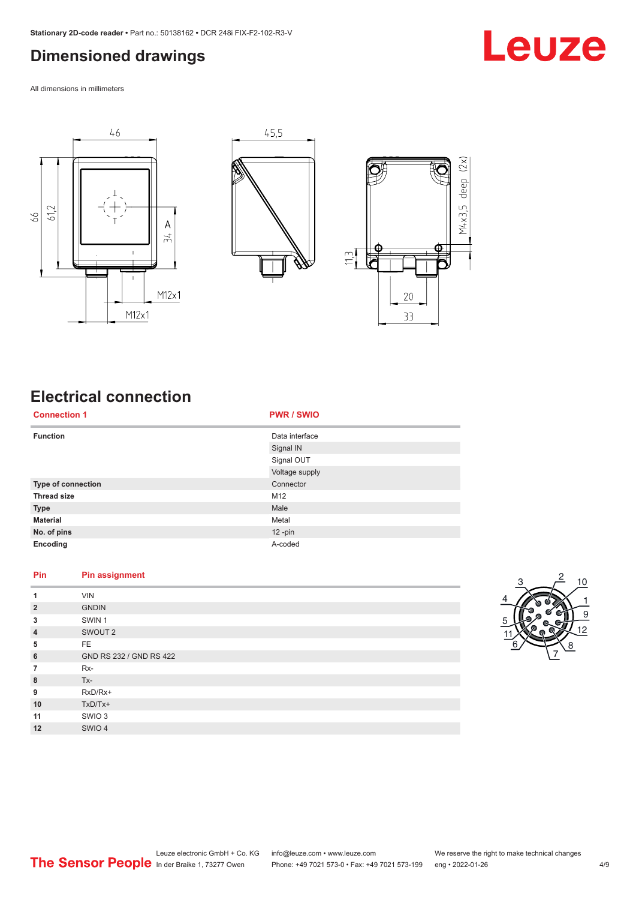### <span id="page-3-0"></span>**Dimensioned drawings**

Leuze

All dimensions in millimeters







## **Electrical connection**

| <b>Connection 1</b> | <b>PWR / SWIO</b> |
|---------------------|-------------------|
| <b>Function</b>     | Data interface    |
|                     | Signal IN         |
|                     | Signal OUT        |
|                     | Voltage supply    |
| Type of connection  | Connector         |
| <b>Thread size</b>  | M12               |
| <b>Type</b>         | Male              |
| <b>Material</b>     | Metal             |
| No. of pins         | $12 - pin$        |
| Encoding            | A-coded           |

#### **Pin Pin assignment**

| 1              | <b>VIN</b>              |
|----------------|-------------------------|
| $\overline{2}$ | <b>GNDIN</b>            |
| 3              | SWIN <sub>1</sub>       |
| $\overline{4}$ | SWOUT 2                 |
| 5              | FE.                     |
| 6              | GND RS 232 / GND RS 422 |
| $\overline{7}$ | $Rx-$                   |
| 8              | $Tx -$                  |
| 9              | RxD/Rx+                 |
| 10             | $TxD/Tx+$               |
| 11             | SWIO 3                  |
| 12             | SWIO 4                  |

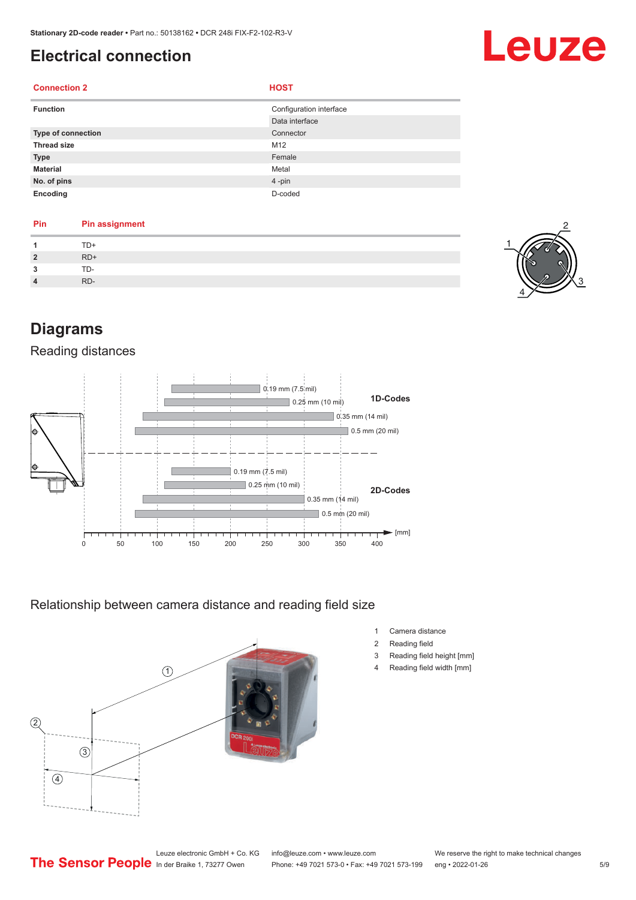## <span id="page-4-0"></span>**Electrical connection**

#### **Connection 2 HOST**

| <b>Function</b>    | Configuration interface<br>Data interface |
|--------------------|-------------------------------------------|
| Type of connection | Connector                                 |
| <b>Thread size</b> | M12                                       |
| <b>Type</b>        | Female                                    |
| <b>Material</b>    | Metal                                     |
| No. of pins        | $4 - pin$                                 |
| Encoding           | D-coded                                   |

## **Pin Pin assignment**

|                | TD+   |
|----------------|-------|
| $\overline{2}$ | $RD+$ |
| $\overline{3}$ | TD-   |
| $\overline{4}$ | RD-   |



Leuze

## **Diagrams**

#### Reading distances



Relationship between camera distance and reading field size



- 1 Camera distance
- 2 Reading field
- 3 Reading field height [mm]
- 4 Reading field width [mm]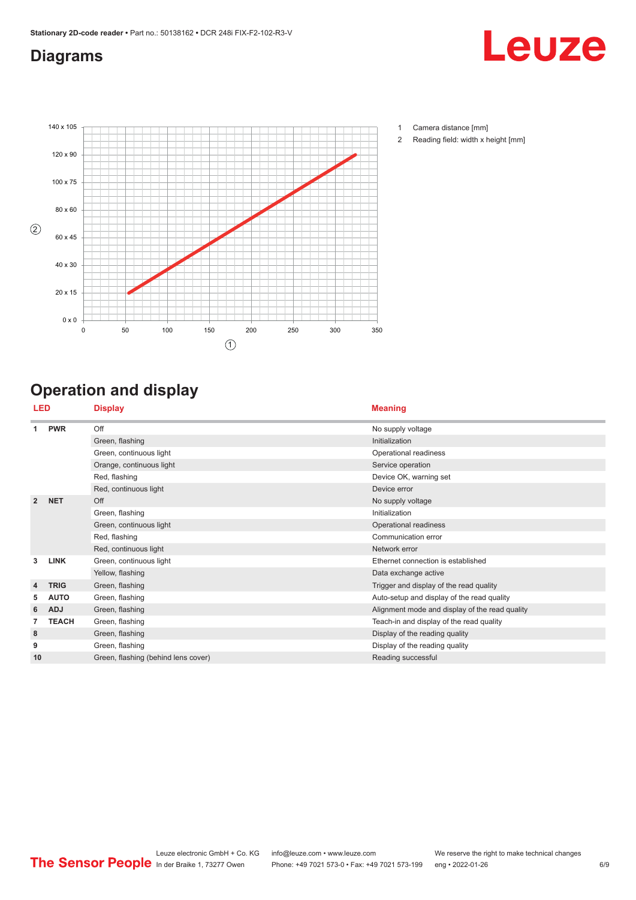## <span id="page-5-0"></span>**Diagrams**





- 1 Camera distance [mm]
- 2 Reading field: width x height [mm]

## **Operation and display**

|                | LED          | <b>Display</b>                      | <b>Meaning</b>                                 |
|----------------|--------------|-------------------------------------|------------------------------------------------|
| 1              | <b>PWR</b>   | Off                                 | No supply voltage                              |
|                |              | Green, flashing                     | Initialization                                 |
|                |              | Green, continuous light             | Operational readiness                          |
|                |              | Orange, continuous light            | Service operation                              |
|                |              | Red, flashing                       | Device OK, warning set                         |
|                |              | Red, continuous light               | Device error                                   |
| $\overline{2}$ | <b>NET</b>   | Off                                 | No supply voltage                              |
|                |              | Green, flashing                     | Initialization                                 |
|                |              | Green, continuous light             | Operational readiness                          |
|                |              | Red, flashing                       | Communication error                            |
|                |              | Red, continuous light               | Network error                                  |
| 3              | <b>LINK</b>  | Green, continuous light             | Ethernet connection is established             |
|                |              | Yellow, flashing                    | Data exchange active                           |
| 4              | <b>TRIG</b>  | Green, flashing                     | Trigger and display of the read quality        |
| 5              | <b>AUTO</b>  | Green, flashing                     | Auto-setup and display of the read quality     |
| 6              | <b>ADJ</b>   | Green, flashing                     | Alignment mode and display of the read quality |
|                | <b>TEACH</b> | Green, flashing                     | Teach-in and display of the read quality       |
| 8              |              | Green, flashing                     | Display of the reading quality                 |
| 9              |              | Green, flashing                     | Display of the reading quality                 |
| 10             |              | Green, flashing (behind lens cover) | Reading successful                             |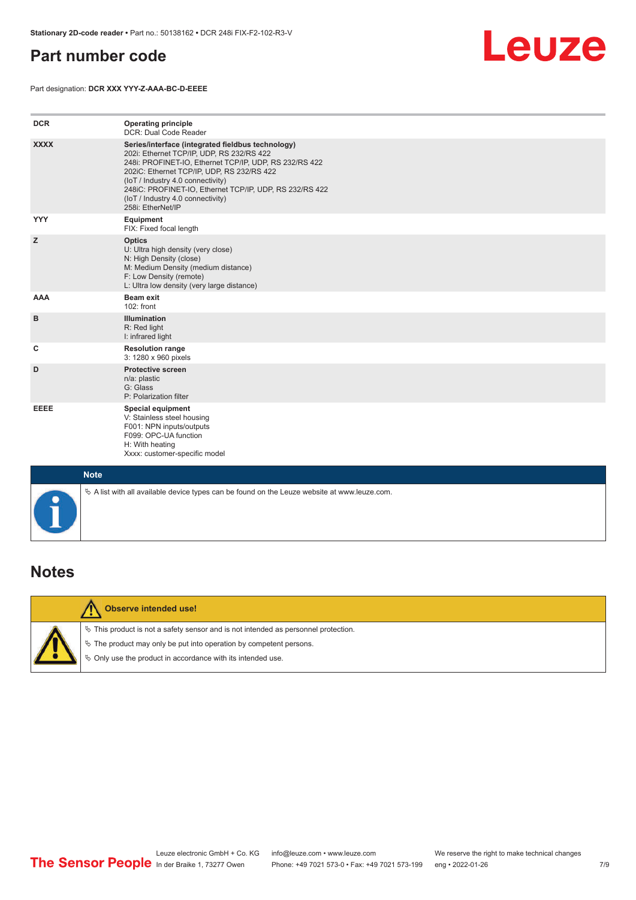### <span id="page-6-0"></span>**Part number code**



Part designation: **DCR XXX YYY-Z-AAA-BC-D-EEEE**

| <b>DCR</b>  | <b>Operating principle</b><br>DCR: Dual Code Reader                                                                                                                                                                                                                                                                                                              |
|-------------|------------------------------------------------------------------------------------------------------------------------------------------------------------------------------------------------------------------------------------------------------------------------------------------------------------------------------------------------------------------|
| <b>XXXX</b> | Series/interface (integrated fieldbus technology)<br>202i: Ethernet TCP/IP, UDP, RS 232/RS 422<br>248i: PROFINET-IO, Ethernet TCP/IP, UDP, RS 232/RS 422<br>202iC: Ethernet TCP/IP, UDP, RS 232/RS 422<br>(IoT / Industry 4.0 connectivity)<br>248iC: PROFINET-IO, Ethernet TCP/IP, UDP, RS 232/RS 422<br>(IoT / Industry 4.0 connectivity)<br>258i: EtherNet/IP |
| <b>YYY</b>  | Equipment<br>FIX: Fixed focal length                                                                                                                                                                                                                                                                                                                             |
| z           | <b>Optics</b><br>U: Ultra high density (very close)<br>N: High Density (close)<br>M: Medium Density (medium distance)<br>F: Low Density (remote)<br>L: Ultra low density (very large distance)                                                                                                                                                                   |
| AAA         | <b>Beam exit</b><br>102: front                                                                                                                                                                                                                                                                                                                                   |
| B           | <b>Illumination</b><br>R: Red light<br>I: infrared light                                                                                                                                                                                                                                                                                                         |
| c           | <b>Resolution range</b><br>3: 1280 x 960 pixels                                                                                                                                                                                                                                                                                                                  |
| D           | <b>Protective screen</b><br>n/a: plastic<br>G: Glass<br>P: Polarization filter                                                                                                                                                                                                                                                                                   |
| EEEE        | <b>Special equipment</b><br>V: Stainless steel housing<br>F001: NPN inputs/outputs<br>F099: OPC-UA function<br>H: With heating<br>Xxxx: customer-specific model                                                                                                                                                                                                  |
| <b>Note</b> |                                                                                                                                                                                                                                                                                                                                                                  |
| $\bullet$   | $\&$ A list with all available device types can be found on the Leuze website at www.leuze.com.                                                                                                                                                                                                                                                                  |

#### **Notes**



#### **Observe intended use!**

 $\%$  This product is not a safety sensor and is not intended as personnel protection.

 $\%$  The product may only be put into operation by competent persons.

 $\%$  Only use the product in accordance with its intended use.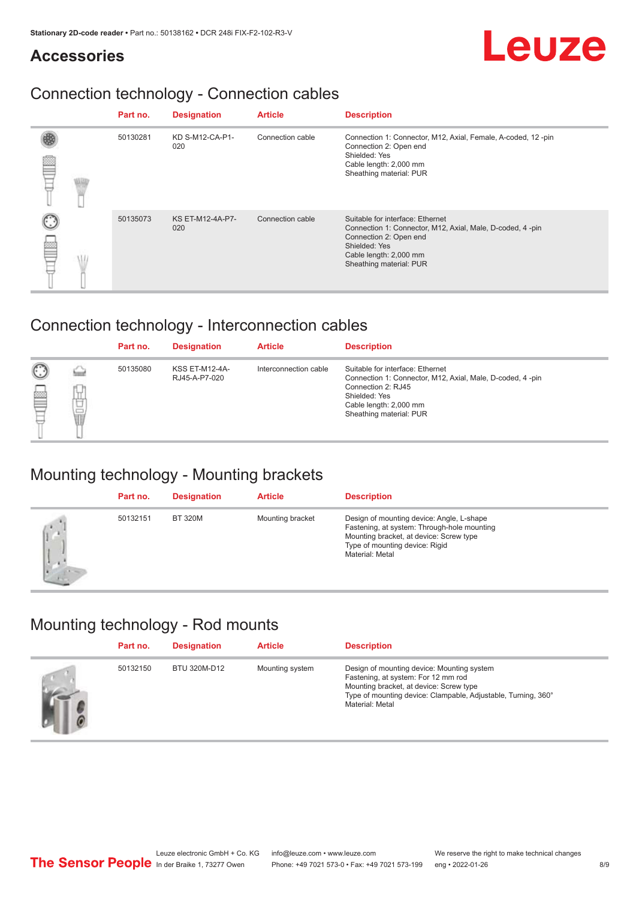# Leuze

### **Accessories**

## Connection technology - Connection cables

|  | Part no. | <b>Designation</b>      | <b>Article</b>   | <b>Description</b>                                                                                                                                                                            |
|--|----------|-------------------------|------------------|-----------------------------------------------------------------------------------------------------------------------------------------------------------------------------------------------|
|  | 50130281 | KD S-M12-CA-P1-<br>020  | Connection cable | Connection 1: Connector, M12, Axial, Female, A-coded, 12-pin<br>Connection 2: Open end<br>Shielded: Yes<br>Cable length: 2,000 mm<br>Sheathing material: PUR                                  |
|  | 50135073 | KS ET-M12-4A-P7-<br>020 | Connection cable | Suitable for interface: Ethernet<br>Connection 1: Connector, M12, Axial, Male, D-coded, 4-pin<br>Connection 2: Open end<br>Shielded: Yes<br>Cable length: 2,000 mm<br>Sheathing material: PUR |

## Connection technology - Interconnection cables

|        |        | Part no. | <b>Designation</b>                     | <b>Article</b>        | <b>Description</b>                                                                                                                                                                        |
|--------|--------|----------|----------------------------------------|-----------------------|-------------------------------------------------------------------------------------------------------------------------------------------------------------------------------------------|
| C<br>E | υ<br>t | 50135080 | <b>KSS ET-M12-4A-</b><br>RJ45-A-P7-020 | Interconnection cable | Suitable for interface: Ethernet<br>Connection 1: Connector, M12, Axial, Male, D-coded, 4-pin<br>Connection 2: RJ45<br>Shielded: Yes<br>Cable length: 2,000 mm<br>Sheathing material: PUR |

### Mounting technology - Mounting brackets

|     | Part no. | <b>Designation</b> | <b>Article</b>   | <b>Description</b>                                                                                                                                                                       |
|-----|----------|--------------------|------------------|------------------------------------------------------------------------------------------------------------------------------------------------------------------------------------------|
| (j. | 50132151 | <b>BT 320M</b>     | Mounting bracket | Design of mounting device: Angle, L-shape<br>Fastening, at system: Through-hole mounting<br>Mounting bracket, at device: Screw type<br>Type of mounting device: Rigid<br>Material: Metal |

## Mounting technology - Rod mounts

| Part no. | <b>Designation</b> | <b>Article</b>  | <b>Description</b>                                                                                                                                                                                               |
|----------|--------------------|-----------------|------------------------------------------------------------------------------------------------------------------------------------------------------------------------------------------------------------------|
| 50132150 | BTU 320M-D12       | Mounting system | Design of mounting device: Mounting system<br>Fastening, at system: For 12 mm rod<br>Mounting bracket, at device: Screw type<br>Type of mounting device: Clampable, Adjustable, Turning, 360°<br>Material: Metal |